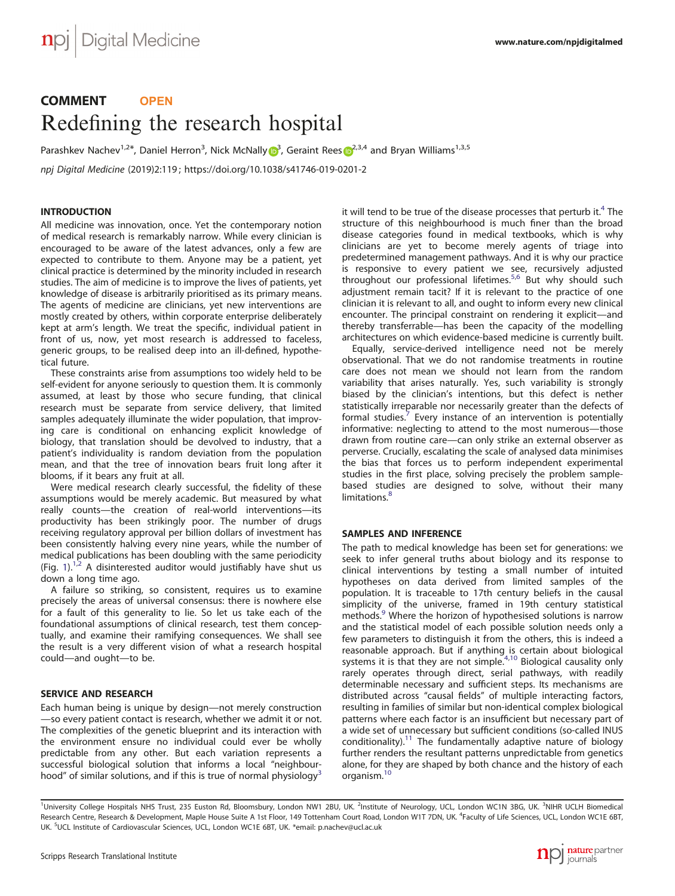# COMMENT **OPEN** Redefining the research hospital

Parashkev Nachev<sup>1,2\*</sup>, Daniel Herron<sup>[3](http://orcid.org/0000-0002-0434-2302)</[s](http://orcid.org/0000-0002-9623-7007)up>, Nick McNally  $\mathbb{D}^3$ , Geraint Rees  $\mathbb{D}^{2,3,4}$  $\mathbb{D}^{2,3,4}$  $\mathbb{D}^{2,3,4}$  and Bryan Williams<sup>1,3,5</sup>

npj Digital Medicine (2019) 2:119 ; https://doi.org/[10.1038/s41746-019-0201-2](https://doi.org/10.1038/s41746-019-0201-2)

## INTRODUCTION

All medicine was innovation, once. Yet the contemporary notion of medical research is remarkably narrow. While every clinician is encouraged to be aware of the latest advances, only a few are expected to contribute to them. Anyone may be a patient, yet clinical practice is determined by the minority included in research studies. The aim of medicine is to improve the lives of patients, yet knowledge of disease is arbitrarily prioritised as its primary means. The agents of medicine are clinicians, yet new interventions are mostly created by others, within corporate enterprise deliberately kept at arm's length. We treat the specific, individual patient in front of us, now, yet most research is addressed to faceless, generic groups, to be realised deep into an ill-defined, hypothetical future.

These constraints arise from assumptions too widely held to be self-evident for anyone seriously to question them. It is commonly assumed, at least by those who secure funding, that clinical research must be separate from service delivery, that limited samples adequately illuminate the wider population, that improving care is conditional on enhancing explicit knowledge of biology, that translation should be devolved to industry, that a patient's individuality is random deviation from the population mean, and that the tree of innovation bears fruit long after it blooms, if it bears any fruit at all.

Were medical research clearly successful, the fidelity of these assumptions would be merely academic. But measured by what really counts—the creation of real-world interventions—its productivity has been strikingly poor. The number of drugs receiving regulatory approval per billion dollars of investment has been consistently halving every nine years, while the number of medical publications has been doubling with the same periodicity (Fig. [1\)](#page-1-0).<sup>[1](#page-3-0),[2](#page-3-0)</sup> A disinterested auditor would justifiably have shut us down a long time ago.

A failure so striking, so consistent, requires us to examine precisely the areas of universal consensus: there is nowhere else for a fault of this generality to lie. So let us take each of the foundational assumptions of clinical research, test them conceptually, and examine their ramifying consequences. We shall see the result is a very different vision of what a research hospital could—and ought—to be.

## SERVICE AND RESEARCH

Each human being is unique by design—not merely construction —so every patient contact is research, whether we admit it or not. The complexities of the genetic blueprint and its interaction with the environment ensure no individual could ever be wholly predictable from any other. But each variation represents a successful biological solution that informs a local "neighbour-hood" of similar solutions, and if this is true of normal physiology<sup>[3](#page-3-0)</sup>

it will tend to be true of the disease processes that perturb it.<sup>4</sup> The structure of this neighbourhood is much finer than the broad disease categories found in medical textbooks, which is why clinicians are yet to become merely agents of triage into predetermined management pathways. And it is why our practice is responsive to every patient we see, recursively adjusted<br>throughout our professional lifetimes.<sup>[5](#page-3-0),[6](#page-3-0)</sup> But why should such adjustment remain tacit? If it is relevant to the practice of one clinician it is relevant to all, and ought to inform every new clinical encounter. The principal constraint on rendering it explicit—and thereby transferrable—has been the capacity of the modelling architectures on which evidence-based medicine is currently built.

Equally, service-derived intelligence need not be merely observational. That we do not randomise treatments in routine care does not mean we should not learn from the random variability that arises naturally. Yes, such variability is strongly biased by the clinician's intentions, but this defect is nether statistically irreparable nor necessarily greater than the defects of formal studies.<sup>[7](#page-3-0)</sup> Every instance of an intervention is potentially informative: neglecting to attend to the most numerous—those drawn from routine care—can only strike an external observer as perverse. Crucially, escalating the scale of analysed data minimises the bias that forces us to perform independent experimental studies in the first place, solving precisely the problem samplebased studies are designed to solve, without their many limitations<sup>[8](#page-3-0)</sup>

#### SAMPLES AND INFERENCE

The path to medical knowledge has been set for generations: we seek to infer general truths about biology and its response to clinical interventions by testing a small number of intuited hypotheses on data derived from limited samples of the population. It is traceable to 17th century beliefs in the causal simplicity of the universe, framed in 19th century statistical methods.<sup>[9](#page-3-0)</sup> Where the horizon of hypothesised solutions is narrow and the statistical model of each possible solution needs only a few parameters to distinguish it from the others, this is indeed a reasonable approach. But if anything is certain about biological systems it is that they are not simple.<sup>[4,10](#page-3-0)</sup> Biological causality only rarely operates through direct, serial pathways, with readily determinable necessary and sufficient steps. Its mechanisms are distributed across "causal fields" of multiple interacting factors, resulting in families of similar but non-identical complex biological patterns where each factor is an insufficient but necessary part of a wide set of unnecessary but sufficient conditions (so-called INUS conditionality). $11$  The fundamentally adaptive nature of biology further renders the resultant patterns unpredictable from genetics alone, for they are shaped by both chance and the history of each organism.<sup>[10](#page-3-0)</sup>

<sup>&</sup>lt;sup>1</sup>University College Hospitals NHS Trust, 235 Euston Rd, Bloomsbury, London NW1 2BU, UK. <sup>2</sup>Institute of Neurology, UCL, London WC1N 3BG, UK. <sup>3</sup>NIHR UCLH Biomedical Research Centre, Research & Development, Maple House Suite A 1st Floor, 149 Tottenham Court Road, London WTT 7DN, UK. <sup>4</sup>Faculty of Life Sciences, UCL, London WC1E 6BT, UK. <sup>5</sup>UCL Institute of Cardiovascular Sciences, UCL, London WC1E 6BT, UK. \*email: [p.nachev@ucl.ac.uk](mailto:p.nachev@ucl.ac.uk)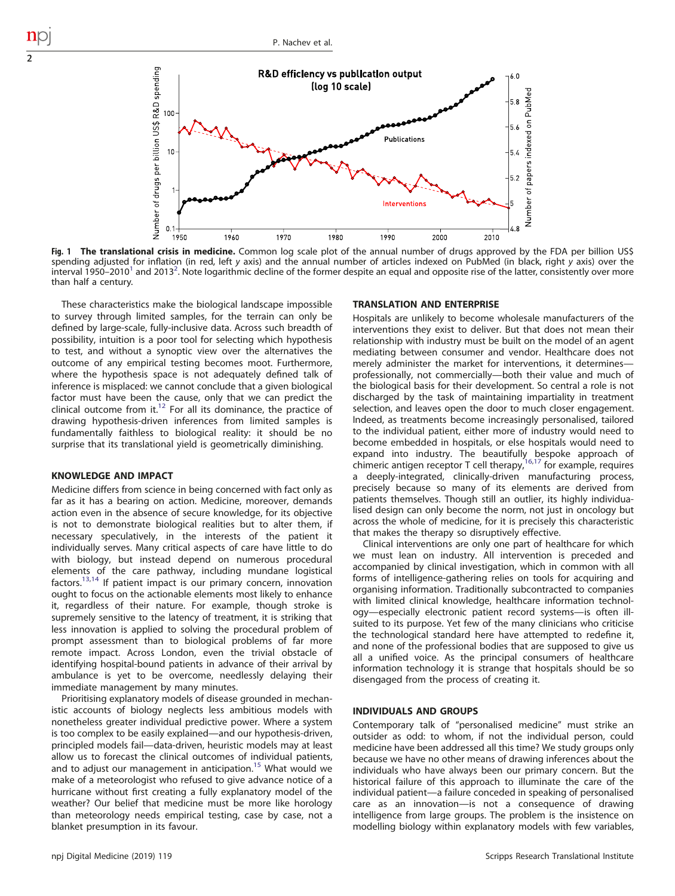

Fig. 1 The translational crisis in medicine. Common log scale plot of the annual number of drugs approved by the FDA per billion US\$ spending adjusted for inflation (in red, left y axis) and the annual number of articles indexed on PubMed (in black, right y axis) over the interval [1](#page-3-0)950–[2](#page-3-0)010<sup>1</sup> and 2013<sup>2</sup>. Note logarithmic decline of the former despite an equal and opposite rise of the latter, consistently over more than half a century.

These characteristics make the biological landscape impossible to survey through limited samples, for the terrain can only be defined by large-scale, fully-inclusive data. Across such breadth of possibility, intuition is a poor tool for selecting which hypothesis to test, and without a synoptic view over the alternatives the outcome of any empirical testing becomes moot. Furthermore, where the hypothesis space is not adequately defined talk of inference is misplaced: we cannot conclude that a given biological factor must have been the cause, only that we can predict the clinical outcome from it.<sup>12</sup> For all its dominance, the practice of drawing hypothesis-driven inferences from limited samples is fundamentally faithless to biological reality: it should be no surprise that its translational yield is geometrically diminishing.

#### KNOWLEDGE AND IMPACT

<span id="page-1-0"></span>2

Medicine differs from science in being concerned with fact only as far as it has a bearing on action. Medicine, moreover, demands action even in the absence of secure knowledge, for its objective is not to demonstrate biological realities but to alter them, if necessary speculatively, in the interests of the patient it individually serves. Many critical aspects of care have little to do with biology, but instead depend on numerous procedural elements of the care pathway, including mundane logistical factors.[13,14](#page-3-0) If patient impact is our primary concern, innovation ought to focus on the actionable elements most likely to enhance it, regardless of their nature. For example, though stroke is supremely sensitive to the latency of treatment, it is striking that less innovation is applied to solving the procedural problem of prompt assessment than to biological problems of far more remote impact. Across London, even the trivial obstacle of identifying hospital-bound patients in advance of their arrival by ambulance is yet to be overcome, needlessly delaying their immediate management by many minutes.

Prioritising explanatory models of disease grounded in mechanistic accounts of biology neglects less ambitious models with nonetheless greater individual predictive power. Where a system is too complex to be easily explained—and our hypothesis-driven, principled models fail—data-driven, heuristic models may at least allow us to forecast the clinical outcomes of individual patients, and to adjust our management in anticipation.<sup>[15](#page-3-0)</sup> What would we make of a meteorologist who refused to give advance notice of a hurricane without first creating a fully explanatory model of the weather? Our belief that medicine must be more like horology than meteorology needs empirical testing, case by case, not a blanket presumption in its favour.

#### TRANSLATION AND ENTERPRISE

Hospitals are unlikely to become wholesale manufacturers of the interventions they exist to deliver. But that does not mean their relationship with industry must be built on the model of an agent mediating between consumer and vendor. Healthcare does not merely administer the market for interventions, it determines professionally, not commercially—both their value and much of the biological basis for their development. So central a role is not discharged by the task of maintaining impartiality in treatment selection, and leaves open the door to much closer engagement. Indeed, as treatments become increasingly personalised, tailored to the individual patient, either more of industry would need to become embedded in hospitals, or else hospitals would need to expand into industry. The beautifully bespoke approach of chimeric antigen receptor T cell therapy,<sup>[16,17](#page-3-0)</sup> for example, requires chimeric antigen receptor T cell therapy,  $16,17$  for example, requires a deeply-integrated, clinically-driven manufacturing process, precisely because so many of its elements are derived from patients themselves. Though still an outlier, its highly individualised design can only become the norm, not just in oncology but across the whole of medicine, for it is precisely this characteristic that makes the therapy so disruptively effective.

Clinical interventions are only one part of healthcare for which we must lean on industry. All intervention is preceded and accompanied by clinical investigation, which in common with all forms of intelligence-gathering relies on tools for acquiring and organising information. Traditionally subcontracted to companies with limited clinical knowledge, healthcare information technology—especially electronic patient record systems—is often illsuited to its purpose. Yet few of the many clinicians who criticise the technological standard here have attempted to redefine it, and none of the professional bodies that are supposed to give us all a unified voice. As the principal consumers of healthcare information technology it is strange that hospitals should be so disengaged from the process of creating it.

#### INDIVIDUALS AND GROUPS

Contemporary talk of "personalised medicine" must strike an outsider as odd: to whom, if not the individual person, could medicine have been addressed all this time? We study groups only because we have no other means of drawing inferences about the individuals who have always been our primary concern. But the historical failure of this approach to illuminate the care of the individual patient—a failure conceded in speaking of personalised care as an innovation—is not a consequence of drawing intelligence from large groups. The problem is the insistence on modelling biology within explanatory models with few variables,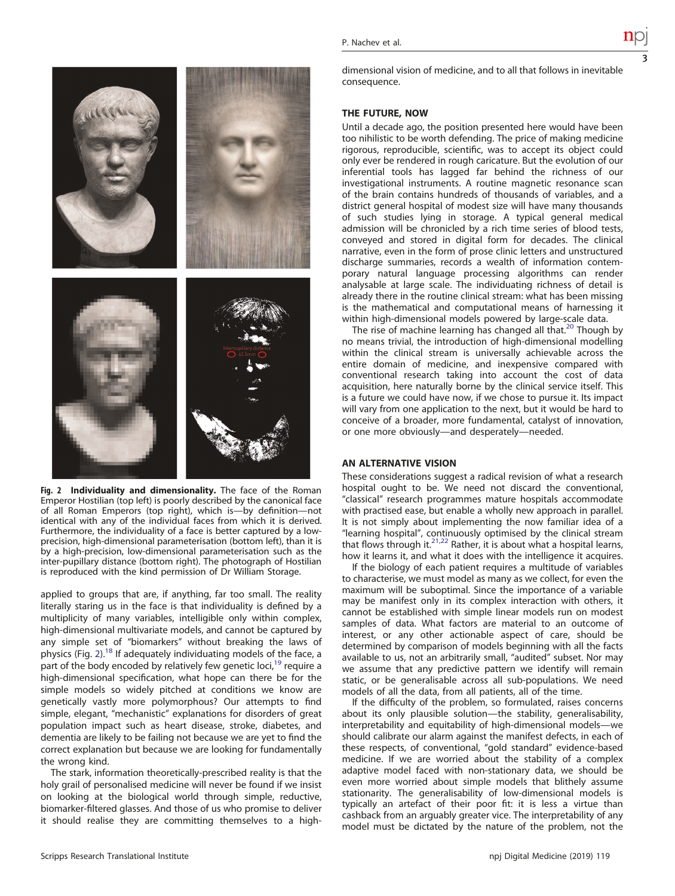3



Fig. 2 Individuality and dimensionality. The face of the Roman Emperor Hostilian (top left) is poorly described by the canonical face of all Roman Emperors (top right), which is—by definition—not identical with any of the individual faces from which it is derived. Furthermore, the individuality of a face is better captured by a lowprecision, high-dimensional parameterisation (bottom left), than it is by a high-precision, low-dimensional parameterisation such as the inter-pupillary distance (bottom right). The photograph of Hostilian is reproduced with the kind permission of Dr William Storage.

applied to groups that are, if anything, far too small. The reality literally staring us in the face is that individuality is defined by a multiplicity of many variables, intelligible only within complex, high-dimensional multivariate models, and cannot be captured by any simple set of "biomarkers" without breaking the laws of physics (Fig. 2).<sup>[18](#page-3-0)</sup> If adequately individuating models of the face, a part of the body encoded by relatively few genetic loci,<sup>[19](#page-3-0)</sup> require a high-dimensional specification, what hope can there be for the simple models so widely pitched at conditions we know are genetically vastly more polymorphous? Our attempts to find simple, elegant, "mechanistic" explanations for disorders of great population impact such as heart disease, stroke, diabetes, and dementia are likely to be failing not because we are yet to find the correct explanation but because we are looking for fundamentally the wrong kind.

The stark, information theoretically-prescribed reality is that the holy grail of personalised medicine will never be found if we insist on looking at the biological world through simple, reductive, biomarker-filtered glasses. And those of us who promise to deliver it should realise they are committing themselves to a highdimensional vision of medicine, and to all that follows in inevitable consequence.

#### THE FUTURE, NOW

Until a decade ago, the position presented here would have been too nihilistic to be worth defending. The price of making medicine rigorous, reproducible, scientific, was to accept its object could only ever be rendered in rough caricature. But the evolution of our inferential tools has lagged far behind the richness of our investigational instruments. A routine magnetic resonance scan of the brain contains hundreds of thousands of variables, and a district general hospital of modest size will have many thousands of such studies lying in storage. A typical general medical admission will be chronicled by a rich time series of blood tests, conveyed and stored in digital form for decades. The clinical narrative, even in the form of prose clinic letters and unstructured discharge summaries, records a wealth of information contemporary natural language processing algorithms can render analysable at large scale. The individuating richness of detail is already there in the routine clinical stream: what has been missing is the mathematical and computational means of harnessing it within high-dimensional models powered by large-scale data.

The rise of machine learning has changed all that.<sup>[20](#page-3-0)</sup> Though by no means trivial, the introduction of high-dimensional modelling within the clinical stream is universally achievable across the entire domain of medicine, and inexpensive compared with conventional research taking into account the cost of data acquisition, here naturally borne by the clinical service itself. This is a future we could have now, if we chose to pursue it. Its impact will vary from one application to the next, but it would be hard to conceive of a broader, more fundamental, catalyst of innovation, or one more obviously—and desperately—needed.

#### AN ALTERNATIVE VISION

These considerations suggest a radical revision of what a research hospital ought to be. We need not discard the conventional, "classical" research programmes mature hospitals accommodate with practised ease, but enable a wholly new approach in parallel. It is not simply about implementing the now familiar idea of a "learning hospital", continuously optimised by the clinical stream that flows through it.<sup>[21,](#page-3-0)[22](#page-4-0)</sup> Rather, it is about what a hospital learns, how it learns it, and what it does with the intelligence it acquires.

If the biology of each patient requires a multitude of variables to characterise, we must model as many as we collect, for even the maximum will be suboptimal. Since the importance of a variable may be manifest only in its complex interaction with others, it cannot be established with simple linear models run on modest samples of data. What factors are material to an outcome of interest, or any other actionable aspect of care, should be determined by comparison of models beginning with all the facts available to us, not an arbitrarily small, "audited" subset. Nor may we assume that any predictive pattern we identify will remain static, or be generalisable across all sub-populations. We need models of all the data, from all patients, all of the time.

If the difficulty of the problem, so formulated, raises concerns about its only plausible solution—the stability, generalisability, interpretability and equitability of high-dimensional models—we should calibrate our alarm against the manifest defects, in each of these respects, of conventional, "gold standard" evidence-based medicine. If we are worried about the stability of a complex adaptive model faced with non-stationary data, we should be even more worried about simple models that blithely assume stationarity. The generalisability of low-dimensional models is typically an artefact of their poor fit: it is less a virtue than cashback from an arguably greater vice. The interpretability of any model must be dictated by the nature of the problem, not the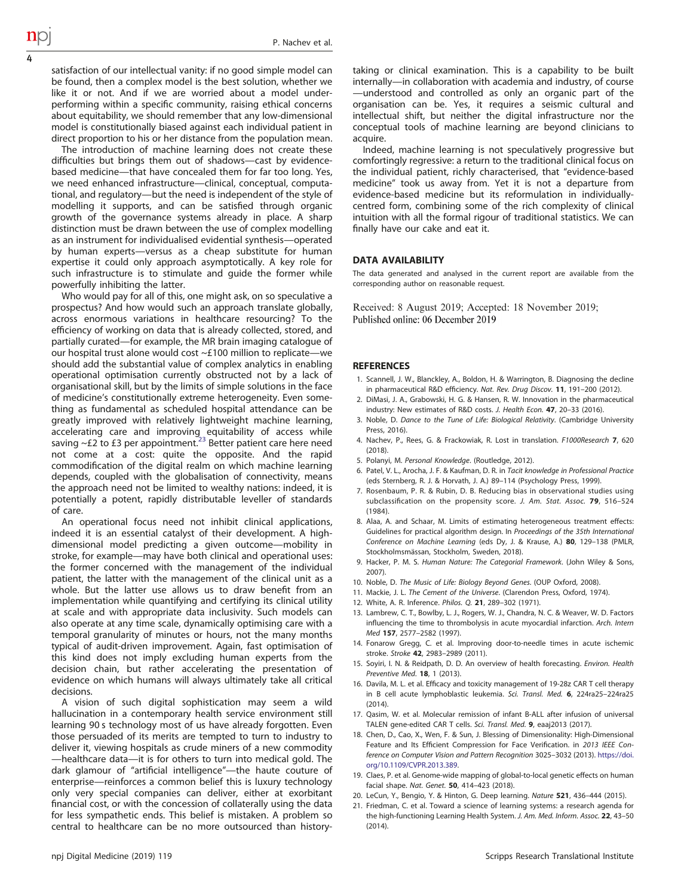<span id="page-3-0"></span>satisfaction of our intellectual vanity: if no good simple model can be found, then a complex model is the best solution, whether we like it or not. And if we are worried about a model underperforming within a specific community, raising ethical concerns about equitability, we should remember that any low-dimensional model is constitutionally biased against each individual patient in direct proportion to his or her distance from the population mean.

The introduction of machine learning does not create these difficulties but brings them out of shadows—cast by evidencebased medicine—that have concealed them for far too long. Yes, we need enhanced infrastructure—clinical, conceptual, computational, and regulatory—but the need is independent of the style of modelling it supports, and can be satisfied through organic growth of the governance systems already in place. A sharp distinction must be drawn between the use of complex modelling as an instrument for individualised evidential synthesis—operated by human experts—versus as a cheap substitute for human expertise it could only approach asymptotically. A key role for such infrastructure is to stimulate and guide the former while powerfully inhibiting the latter.

Who would pay for all of this, one might ask, on so speculative a prospectus? And how would such an approach translate globally, across enormous variations in healthcare resourcing? To the efficiency of working on data that is already collected, stored, and partially curated—for example, the MR brain imaging catalogue of our hospital trust alone would cost ~£100 million to replicate—we should add the substantial value of complex analytics in enabling operational optimisation currently obstructed not by a lack of organisational skill, but by the limits of simple solutions in the face of medicine's constitutionally extreme heterogeneity. Even something as fundamental as scheduled hospital attendance can be greatly improved with relatively lightweight machine learning, accelerating care and improving equitability of access while<br>saving ~£2 to £3 per appointment.<sup>[23](#page-4-0)</sup> Better patient care here need not come at a cost: quite the opposite. And the rapid commodification of the digital realm on which machine learning depends, coupled with the globalisation of connectivity, means the approach need not be limited to wealthy nations: indeed, it is potentially a potent, rapidly distributable leveller of standards of care.

An operational focus need not inhibit clinical applications, indeed it is an essential catalyst of their development. A highdimensional model predicting a given outcome—mobility in stroke, for example—may have both clinical and operational uses: the former concerned with the management of the individual patient, the latter with the management of the clinical unit as a whole. But the latter use allows us to draw benefit from an implementation while quantifying and certifying its clinical utility at scale and with appropriate data inclusivity. Such models can also operate at any time scale, dynamically optimising care with a temporal granularity of minutes or hours, not the many months typical of audit-driven improvement. Again, fast optimisation of this kind does not imply excluding human experts from the decision chain, but rather accelerating the presentation of evidence on which humans will always ultimately take all critical decisions.

A vision of such digital sophistication may seem a wild hallucination in a contemporary health service environment still learning 90 s technology most of us have already forgotten. Even those persuaded of its merits are tempted to turn to industry to deliver it, viewing hospitals as crude miners of a new commodity —healthcare data—it is for others to turn into medical gold. The dark glamour of "artificial intelligence"—the haute couture of enterprise—reinforces a common belief this is luxury technology only very special companies can deliver, either at exorbitant financial cost, or with the concession of collaterally using the data for less sympathetic ends. This belief is mistaken. A problem so central to healthcare can be no more outsourced than history-

taking or clinical examination. This is a capability to be built internally—in collaboration with academia and industry, of course —understood and controlled as only an organic part of the organisation can be. Yes, it requires a seismic cultural and intellectual shift, but neither the digital infrastructure nor the conceptual tools of machine learning are beyond clinicians to acquire.

Indeed, machine learning is not speculatively progressive but comfortingly regressive: a return to the traditional clinical focus on the individual patient, richly characterised, that "evidence-based medicine" took us away from. Yet it is not a departure from evidence-based medicine but its reformulation in individuallycentred form, combining some of the rich complexity of clinical intuition with all the formal rigour of traditional statistics. We can finally have our cake and eat it.

#### DATA AVAILABILITY

The data generated and analysed in the current report are available from the corresponding author on reasonable request.

Received: 8 August 2019; Accepted: 18 November 2019; Published online: 06 December 2019

#### **REFERENCES**

- 1. Scannell, J. W., Blanckley, A., Boldon, H. & Warrington, B. Diagnosing the decline in pharmaceutical R&D efficiency. Nat. Rev. Drug Discov. 11, 191–200 (2012).
- 2. DiMasi, J. A., Grabowski, H. G. & Hansen, R. W. Innovation in the pharmaceutical industry: New estimates of R&D costs. J. Health Econ. 47, 20–33 (2016).
- 3. Noble, D. Dance to the Tune of Life: Biological Relativity. (Cambridge University Press, 2016).
- 4. Nachev, P., Rees, G. & Frackowiak, R. Lost in translation. F1000Research 7, 620 (2018).
- 5. Polanyi, M. Personal Knowledge. (Routledge, 2012).
- 6. Patel, V. L., Arocha, J. F. & Kaufman, D. R. in Tacit knowledge in Professional Practice (eds Sternberg, R. J. & Horvath, J. A.) 89–114 (Psychology Press, 1999).
- 7. Rosenbaum, P. R. & Rubin, D. B. Reducing bias in observational studies using subclassification on the propensity score. J. Am. Stat. Assoc. 79, 516-524 (1984).
- 8. Alaa, A. and Schaar, M. Limits of estimating heterogeneous treatment effects: Guidelines for practical algorithm design. In Proceedings of the 35th International Conference on Machine Learning (eds Dy, J. & Krause, A.) 80, 129–138 (PMLR, Stockholmsmässan, Stockholm, Sweden, 2018).
- 9. Hacker, P. M. S. Human Nature: The Categorial Framework. (John Wiley & Sons, 2007).
- 10. Noble, D. The Music of Life: Biology Beyond Genes. (OUP Oxford, 2008).
- 11. Mackie, J. L. The Cement of the Universe. (Clarendon Press, Oxford, 1974).
- 12. White, A. R. Inference. Philos. Q. 21, 289–302 (1971).
- 13. Lambrew, C. T., Bowlby, L. J., Rogers, W. J., Chandra, N. C. & Weaver, W. D. Factors influencing the time to thrombolysis in acute myocardial infarction. Arch. Intern Med 157, 2577–2582 (1997).
- 14. Fonarow Gregg, C. et al. Improving door-to-needle times in acute ischemic stroke. Stroke 42, 2983–2989 (2011).
- 15. Soyiri, I. N. & Reidpath, D. D. An overview of health forecasting. Environ. Health Preventive Med. 18, 1 (2013).
- 16. Davila, M. L. et al. Efficacy and toxicity management of 19-28z CAR T cell therapy in B cell acute lymphoblastic leukemia. Sci. Transl. Med. 6, 224ra25–224ra25 (2014).
- 17. Qasim, W. et al. Molecular remission of infant B-ALL after infusion of universal TALEN gene-edited CAR T cells. Sci. Transl. Med. 9, eaaj2013 (2017).
- 18. Chen, D., Cao, X., Wen, F. & Sun, J. Blessing of Dimensionality: High-Dimensional Feature and Its Efficient Compression for Face Verification. in 2013 IEEE Conference on Computer Vision and Pattern Recognition 3025–3032 (2013). [https://doi.](https://doi.org/10.1109/CVPR.2013.389) [org/10.1109/CVPR.2013.389.](https://doi.org/10.1109/CVPR.2013.389)
- 19. Claes, P. et al. Genome-wide mapping of global-to-local genetic effects on human facial shape. Nat. Genet. 50, 414–423 (2018).
- 20. LeCun, Y., Bengio, Y. & Hinton, G. Deep learning. Nature 521, 436–444 (2015).
- 21. Friedman, C. et al. Toward a science of learning systems: a research agenda for the high-functioning Learning Health System. J. Am. Med. Inform. Assoc. 22, 43–50 (2014).